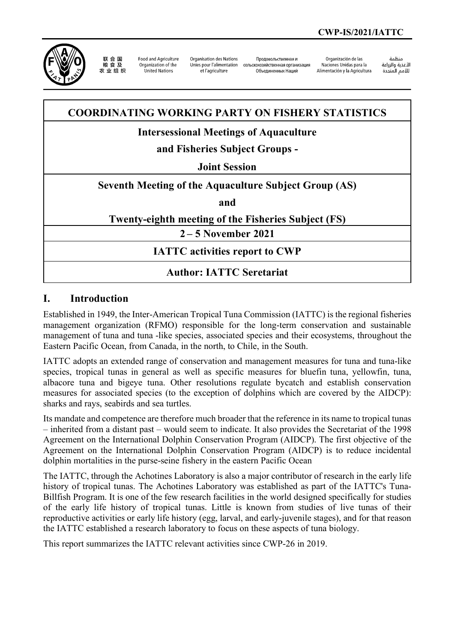

联合国 农业组织

**Food and Agriculture** Organization of the United Nations

Organisation des Nations Unies pour l'alimentation et l'agriculture

Продовольственная и сельскохозяйственная организация Объединенных Наций

Organización de las Naciones Unidas para la Alimentación y la Agricultura

änhin الأغذية والزراعة التعدية والزراعة<br>للأمم المتحدة

## **COORDINATING WORKING PARTY ON FISHERY STATISTICS**

## **Intersessional Meetings of Aquaculture**

# **and Fisheries Subject Groups -**

#### **Joint Session**

#### **Seventh Meeting of the Aquaculture Subject Group (AS)**

**and**

#### **Twenty-eighth meeting of the Fisheries Subject (FS)**

**2 – 5 November 2021**

### **IATTC activities report to CWP**

### **Author: IATTC Seretariat**

#### **I. Introduction**

Established in 1949, the Inter-American Tropical Tuna Commission (IATTC) is the regional fisheries management organization (RFMO) responsible for the long-term conservation and sustainable management of tuna and tuna -like species, associated species and their ecosystems, throughout the Eastern Pacific Ocean, from Canada, in the north, to Chile, in the South.

IATTC adopts an extended range of conservation and management measures for tuna and tuna-like species, tropical tunas in general as well as specific measures for bluefin tuna, yellowfin, tuna, albacore tuna and bigeye tuna. Other resolutions regulate bycatch and establish conservation measures for associated species (to the exception of dolphins which are covered by the AIDCP): sharks and rays, seabirds and sea turtles.

Its mandate and competence are therefore much broader that the reference in its name to tropical tunas – inherited from a distant past – would seem to indicate. It also provides the Secretariat of the 1998 Agreement on the International Dolphin Conservation Program (AIDCP). The first objective of the Agreement on the International Dolphin Conservation Program (AIDCP) is to reduce incidental dolphin mortalities in the purse-seine fishery in the eastern Pacific Ocean

The IATTC, through the Achotines Laboratory is also a major contributor of research in the early life history of tropical tunas. The Achotines Laboratory was established as part of the IATTC's Tuna-Billfish Program. It is one of the few research facilities in the world designed specifically for studies of the early life history of tropical tunas. Little is known from studies of live tunas of their reproductive activities or early life history (egg, larval, and early-juvenile stages), and for that reason the IATTC established a research laboratory to focus on these aspects of tuna biology.

This report summarizes the IATTC relevant activities since CWP-26 in 2019.